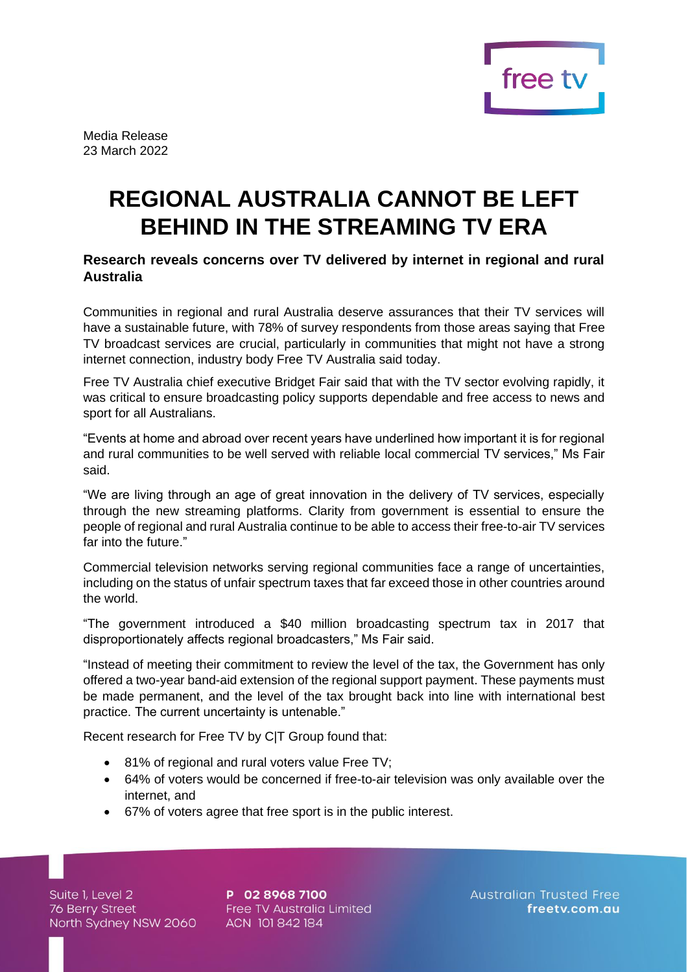

Media Release 23 March 2022

# **REGIONAL AUSTRALIA CANNOT BE LEFT BEHIND IN THE STREAMING TV ERA**

## **Research reveals concerns over TV delivered by internet in regional and rural Australia**

Communities in regional and rural Australia deserve assurances that their TV services will have a sustainable future, with 78% of survey respondents from those areas saying that Free TV broadcast services are crucial, particularly in communities that might not have a strong internet connection, industry body Free TV Australia said today.

Free TV Australia chief executive Bridget Fair said that with the TV sector evolving rapidly, it was critical to ensure broadcasting policy supports dependable and free access to news and sport for all Australians.

"Events at home and abroad over recent years have underlined how important it is for regional and rural communities to be well served with reliable local commercial TV services," Ms Fair said.

"We are living through an age of great innovation in the delivery of TV services, especially through the new streaming platforms. Clarity from government is essential to ensure the people of regional and rural Australia continue to be able to access their free-to-air TV services far into the future."

Commercial television networks serving regional communities face a range of uncertainties, including on the status of unfair spectrum taxes that far exceed those in other countries around the world.

"The government introduced a \$40 million broadcasting spectrum tax in 2017 that disproportionately affects regional broadcasters," Ms Fair said.

"Instead of meeting their commitment to review the level of the tax, the Government has only offered a two-year band-aid extension of the regional support payment. These payments must be made permanent, and the level of the tax brought back into line with international best practice. The current uncertainty is untenable."

Recent research for Free TV by C|T Group found that:

- 81% of regional and rural voters value Free TV;
- 64% of voters would be concerned if free-to-air television was only available over the internet, and
- 67% of voters agree that free sport is in the public interest.

Suite 1, Level 2 Suite 1, Level 2<br>76 Berry Street<br>Narth Sydney NSW 206 North Sydney NSW 2060

P 02 8968 7100 Free TV Australia Limited ACN 101842184

**Australian Trusted Free** freetv.com.au